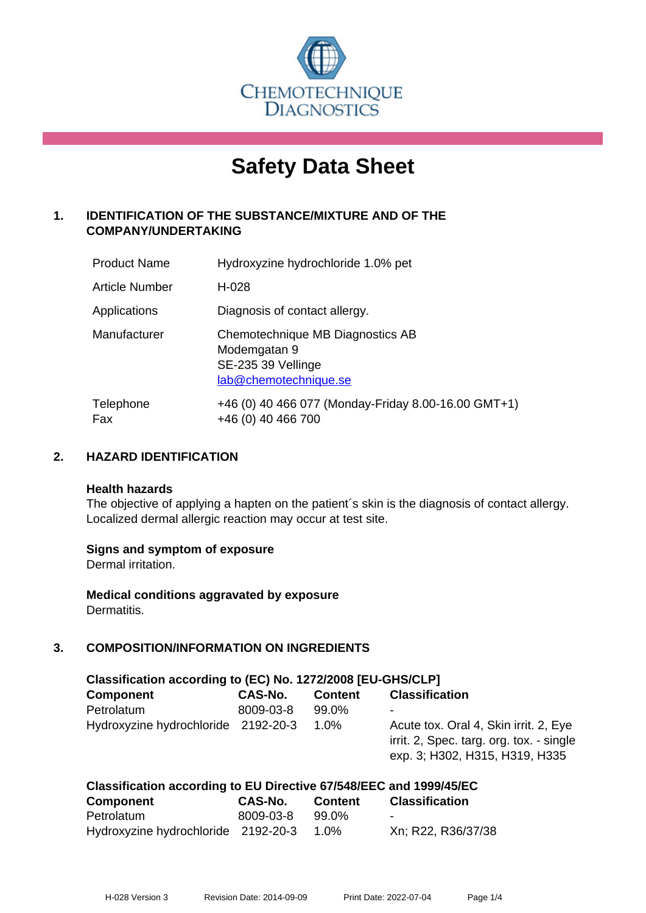

# **Safety Data Sheet**

# **1. IDENTIFICATION OF THE SUBSTANCE/MIXTURE AND OF THE COMPANY/UNDERTAKING**

| <b>Product Name</b>   | Hydroxyzine hydrochloride 1.0% pet                                                              |
|-----------------------|-------------------------------------------------------------------------------------------------|
| <b>Article Number</b> | $H-028$                                                                                         |
| Applications          | Diagnosis of contact allergy.                                                                   |
| Manufacturer          | Chemotechnique MB Diagnostics AB<br>Modemgatan 9<br>SE-235 39 Vellinge<br>lab@chemotechnique.se |
| Telephone<br>Fax      | +46 (0) 40 466 077 (Monday-Friday 8.00-16.00 GMT+1)<br>+46 (0) 40 466 700                       |

# **2. HAZARD IDENTIFICATION**

#### **Health hazards**

The objective of applying a hapten on the patient's skin is the diagnosis of contact allergy. Localized dermal allergic reaction may occur at test site.

## **Signs and symptom of exposure**

Dermal irritation.

**Medical conditions aggravated by exposure** Dermatitis.

# **3. COMPOSITION/INFORMATION ON INGREDIENTS**

| Classification according to (EC) No. 1272/2008 [EU-GHS/CLP] |           |                |                                                                                                                     |  |  |
|-------------------------------------------------------------|-----------|----------------|---------------------------------------------------------------------------------------------------------------------|--|--|
| <b>Component</b>                                            | CAS-No.   | <b>Content</b> | <b>Classification</b>                                                                                               |  |  |
| Petrolatum                                                  | 8009-03-8 | 99.0%          | ٠                                                                                                                   |  |  |
| Hydroxyzine hydrochloride 2192-20-3                         |           | $1.0\%$        | Acute tox. Oral 4, Skin irrit. 2, Eye<br>irrit. 2, Spec. targ. org. tox. - single<br>exp. 3; H302, H315, H319, H335 |  |  |

| Classification according to EU Directive 67/548/EEC and 1999/45/EC |           |         |                       |  |  |
|--------------------------------------------------------------------|-----------|---------|-----------------------|--|--|
| <b>Component</b>                                                   | CAS-No.   | Content | <b>Classification</b> |  |  |
| Petrolatum                                                         | 8009-03-8 | 99.0%   | -                     |  |  |
| Hydroxyzine hydrochloride 2192-20-3                                |           | 1.0%    | Xn; R22, R36/37/38    |  |  |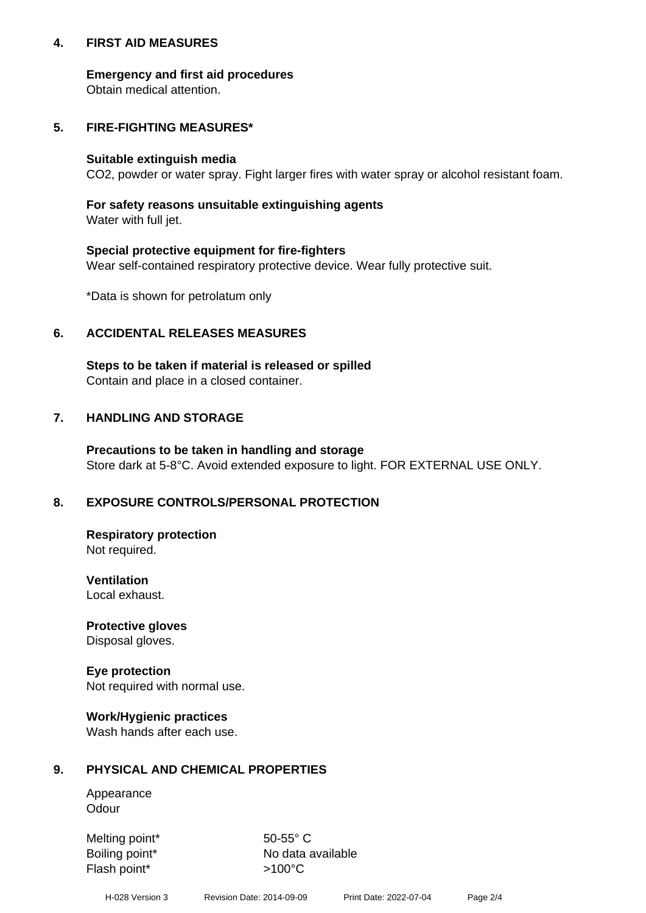## **4. FIRST AID MEASURES**

## **Emergency and first aid procedures**

Obtain medical attention.

# **5. FIRE-FIGHTING MEASURES\***

#### **Suitable extinguish media**

CO2, powder or water spray. Fight larger fires with water spray or alcohol resistant foam.

# **For safety reasons unsuitable extinguishing agents**

Water with full jet.

## **Special protective equipment for fire-fighters**

Wear self-contained respiratory protective device. Wear fully protective suit.

\*Data is shown for petrolatum only

# **6. ACCIDENTAL RELEASES MEASURES**

**Steps to be taken if material is released or spilled** Contain and place in a closed container.

# **7. HANDLING AND STORAGE**

**Precautions to be taken in handling and storage** Store dark at 5-8°C. Avoid extended exposure to light. FOR EXTERNAL USE ONLY.

# **8. EXPOSURE CONTROLS/PERSONAL PROTECTION**

**Respiratory protection** Not required.

**Ventilation** Local exhaust.

**Protective gloves** Disposal gloves.

**Eye protection** Not required with normal use.

## **Work/Hygienic practices**

Wash hands after each use.

## **9. PHYSICAL AND CHEMICAL PROPERTIES**

Appearance **Odour** 

Melting point\* 50-55° C Flash point\*  $>100^{\circ}$ C

Boiling point\* No data available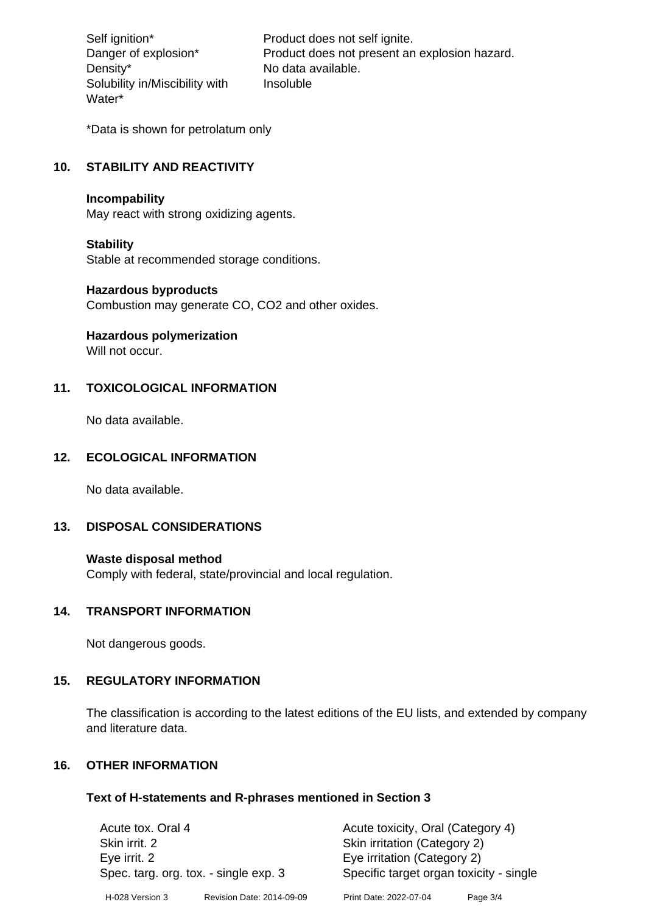Density\* No data available. Solubility in/Miscibility with Water\*

Self ignition\* Product does not self ignite. Danger of explosion\* Product does not present an explosion hazard. Insoluble

\*Data is shown for petrolatum only

# **10. STABILITY AND REACTIVITY**

#### **Incompability**

May react with strong oxidizing agents.

#### **Stability**

Stable at recommended storage conditions.

#### **Hazardous byproducts**

Combustion may generate CO, CO2 and other oxides.

**Hazardous polymerization**

Will not occur.

## **11. TOXICOLOGICAL INFORMATION**

No data available.

## **12. ECOLOGICAL INFORMATION**

No data available.

## **13. DISPOSAL CONSIDERATIONS**

#### **Waste disposal method**

Comply with federal, state/provincial and local regulation.

#### **14. TRANSPORT INFORMATION**

Not dangerous goods.

## **15. REGULATORY INFORMATION**

The classification is according to the latest editions of the EU lists, and extended by company and literature data.

## **16. OTHER INFORMATION**

#### **Text of H-statements and R-phrases mentioned in Section 3**

| Acute tox. Oral 4                     |                           | Acute toxicity, Oral (Category 4)       |          |  |
|---------------------------------------|---------------------------|-----------------------------------------|----------|--|
| Skin irrit. 2                         |                           | Skin irritation (Category 2)            |          |  |
| Eye irrit. 2                          |                           | Eye irritation (Category 2)             |          |  |
| Spec. targ. org. tox. - single exp. 3 |                           | Specific target organ toxicity - single |          |  |
| H-028 Version 3                       | Revision Date: 2014-09-09 | Print Date: 2022-07-04                  | Page 3/4 |  |